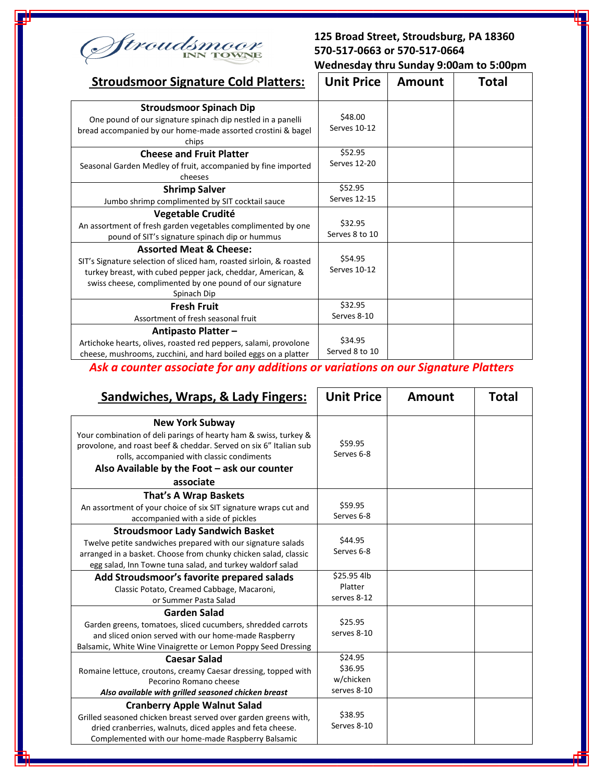

## **125 Broad Street, Stroudsburg, PA 18360 570-517-0663 or 570-517-0664 Wednesday thru Sunday 9:00am to 5:00pm**

| <b>Stroudsmoor Signature Cold Platters:</b>                                                                                                                                                                                                         | <b>Unit Price</b>              | <b>Amount</b> | Total |
|-----------------------------------------------------------------------------------------------------------------------------------------------------------------------------------------------------------------------------------------------------|--------------------------------|---------------|-------|
| <b>Stroudsmoor Spinach Dip</b><br>One pound of our signature spinach dip nestled in a panelli<br>bread accompanied by our home-made assorted crostini & bagel<br>chips                                                                              | \$48.00<br>Serves 10-12        |               |       |
| <b>Cheese and Fruit Platter</b><br>Seasonal Garden Medley of fruit, accompanied by fine imported<br>cheeses                                                                                                                                         | \$52.95<br>Serves 12-20        |               |       |
| <b>Shrimp Salver</b><br>Jumbo shrimp complimented by SIT cocktail sauce                                                                                                                                                                             | \$52.95<br><b>Serves 12-15</b> |               |       |
| Vegetable Crudité<br>An assortment of fresh garden vegetables complimented by one<br>pound of SIT's signature spinach dip or hummus                                                                                                                 | \$32.95<br>Serves 8 to 10      |               |       |
| <b>Assorted Meat &amp; Cheese:</b><br>SIT's Signature selection of sliced ham, roasted sirloin, & roasted<br>turkey breast, with cubed pepper jack, cheddar, American, &<br>swiss cheese, complimented by one pound of our signature<br>Spinach Dip | \$54.95<br>Serves 10-12        |               |       |
| <b>Fresh Fruit</b><br>Assortment of fresh seasonal fruit                                                                                                                                                                                            | \$32.95<br>Serves 8-10         |               |       |
| Antipasto Platter-<br>Artichoke hearts, olives, roasted red peppers, salami, provolone<br>cheese, mushrooms, zucchini, and hard boiled eggs on a platter                                                                                            | \$34.95<br>Served 8 to 10      |               |       |

## *Ask a counter associate for any additions or variations on our Signature Platters*

| Sandwiches, Wraps, & Lady Fingers:                                                                                                                                                                                                                                         | <b>Unit Price</b>                              | <b>Amount</b> | <b>Total</b> |
|----------------------------------------------------------------------------------------------------------------------------------------------------------------------------------------------------------------------------------------------------------------------------|------------------------------------------------|---------------|--------------|
| <b>New York Subway</b><br>Your combination of deli parings of hearty ham & swiss, turkey &<br>provolone, and roast beef & cheddar. Served on six 6" Italian sub<br>rolls, accompanied with classic condiments<br>Also Available by the Foot - ask our counter<br>associate | \$59.95<br>Serves 6-8                          |               |              |
| That's A Wrap Baskets<br>An assortment of your choice of six SIT signature wraps cut and<br>accompanied with a side of pickles                                                                                                                                             | \$59.95<br>Serves 6-8                          |               |              |
| <b>Stroudsmoor Lady Sandwich Basket</b><br>Twelve petite sandwiches prepared with our signature salads<br>arranged in a basket. Choose from chunky chicken salad, classic<br>egg salad, Inn Towne tuna salad, and turkey waldorf salad                                     | \$44.95<br>Serves 6-8                          |               |              |
| Add Stroudsmoor's favorite prepared salads<br>Classic Potato, Creamed Cabbage, Macaroni,<br>or Summer Pasta Salad                                                                                                                                                          | \$25.95 4lb<br>Platter<br>serves 8-12          |               |              |
| <b>Garden Salad</b><br>Garden greens, tomatoes, sliced cucumbers, shredded carrots<br>and sliced onion served with our home-made Raspberry<br>Balsamic, White Wine Vinaigrette or Lemon Poppy Seed Dressing                                                                | \$25.95<br>serves 8-10                         |               |              |
| <b>Caesar Salad</b><br>Romaine lettuce, croutons, creamy Caesar dressing, topped with<br>Pecorino Romano cheese<br>Also available with grilled seasoned chicken breast                                                                                                     | \$24.95<br>\$36.95<br>w/chicken<br>serves 8-10 |               |              |
| <b>Cranberry Apple Walnut Salad</b><br>Grilled seasoned chicken breast served over garden greens with,<br>dried cranberries, walnuts, diced apples and feta cheese.<br>Complemented with our home-made Raspberry Balsamic                                                  | \$38.95<br>Serves 8-10                         |               |              |